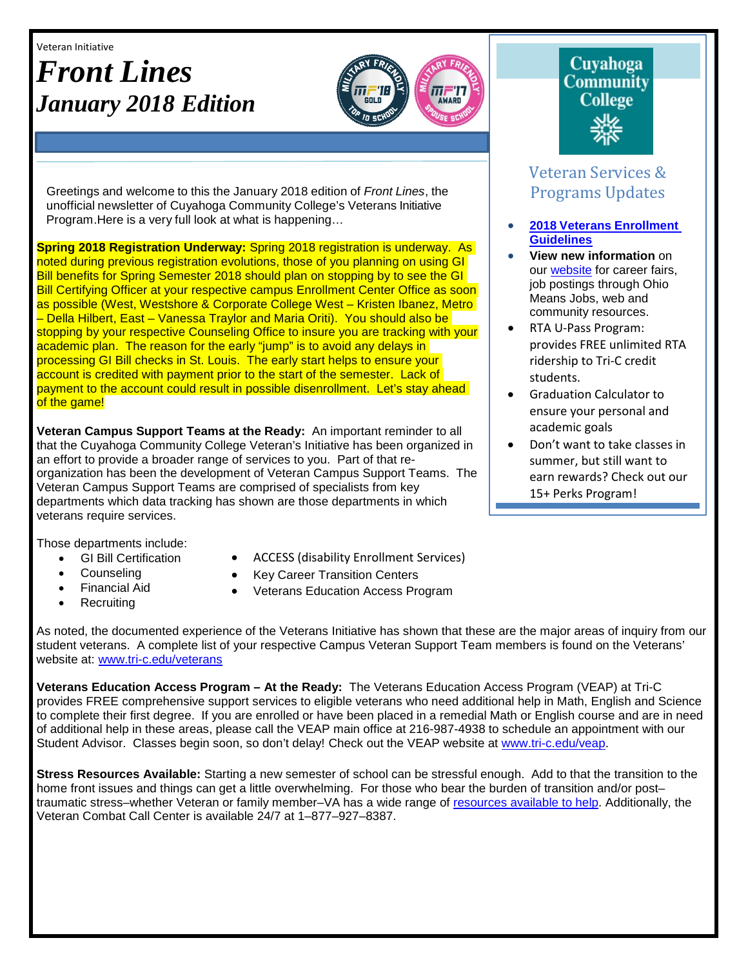Veteran Initiative

# *Front Lines January 2018 Edition*



Greetings and welcome to this the January 2018 edition of *Front Lines*, the unofficial newsletter of Cuyahoga Community College's Veterans Initiative Program.Here is a very full look at what is happening…

**Spring 2018 Registration Underway:** Spring 2018 registration is underway. As noted during previous registration evolutions, those of you planning on using GI Bill benefits for Spring Semester 2018 should plan on stopping by to see the GI Bill Certifying Officer at your respective campus Enrollment Center Office as soon as possible (West, Westshore & Corporate College West – Kristen Ibanez, Metro – Della Hilbert, East – Vanessa Traylor and Maria Oriti). You should also be stopping by your respective Counseling Office to insure you are tracking with your academic plan. The reason for the early "jump" is to avoid any delays in processing GI Bill checks in St. Louis. The early start helps to ensure your account is credited with payment prior to the start of the semester. Lack of payment to the account could result in possible disenrollment. Let's stay ahead of the game!

**Veteran Campus Support Teams at the Ready:** An important reminder to all that the Cuyahoga Community College Veteran's Initiative has been organized in an effort to provide a broader range of services to you. Part of that reorganization has been the development of Veteran Campus Support Teams. The Veteran Campus Support Teams are comprised of specialists from key departments which data tracking has shown are those departments in which veterans require services.

Those departments include:

- GI Bill Certification
	- **Counseling**
- Financial Aid
- **Recruiting**
- Veterans Education Access Program

• ACCESS (disability Enrollment Services) • Key Career Transition Centers

# Cuyahoga Community **College**

# Veteran Services & Programs Updates

- **2018 Veterans [Enrollment](http://www.tri-c.edu/veterans/documents/veterans-student-veteran-guide-flyer-2017.pdf) [Guidelines](http://www.tri-c.edu/veterans/documents/veterans-student-veteran-guide-flyer-2017.pdf)**
- **View new information** on our [website](http://www.tri-c.edu/veterans/) for career fairs, job postings through Ohio Means Jobs, web and community resources.
- RTA U-Pass Program: provides FREE unlimited RTA ridership to Tri-C credit students.
- Graduation Calculator to ensure your personal and academic goals
- Don't want to take classes in summer, but still want to earn rewards? Check out our 15+ Perks Program!

As noted, the documented experience of the Veterans Initiative has shown that these are the major areas of inquiry from our student veterans. A complete list of your respective Campus Veteran Support Team members is found on the Veterans' website at: [www.tri-c.edu/veterans](http://www.tri-c.edu/veterans)

**Veterans Education Access Program – At the Ready:** The Veterans Education Access Program (VEAP) at Tri-C provides FREE comprehensive support services to eligible veterans who need additional help in Math, English and Science to complete their first degree. If you are enrolled or have been placed in a remedial Math or English course and are in need of additional help in these areas, please call the VEAP main office at 216-987-4938 to schedule an appointment with our Student Advisor. Classes begin soon, so don't delay! Check out the VEAP website at [www.tri-c.edu/veap.](http://www.tri-c.edu/veap)

**Stress Resources Available:** Starting a new semester of school can be stressful enough. Add to that the transition to the home front issues and things can get a little overwhelming. For those who bear the burden of transition and/or post– traumatic stress–whether Veteran or family member–VA has a wide range of [resources available to help.](http://www.ptsd.va.gov/) Additionally, the Veteran Combat Call Center is available 24/7 at 1–877–927–8387.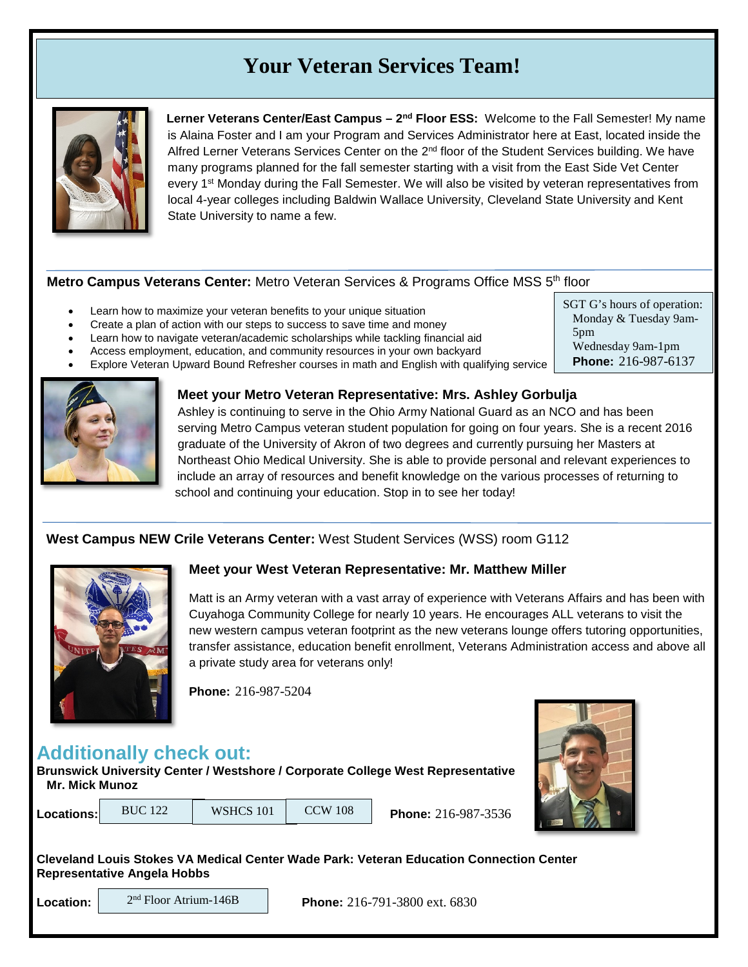# **Your Veteran Services Team!**



**Lerner Veterans Center/East Campus – 2nd Floor ESS:** Welcome to the Fall Semester! My name is Alaina Foster and I am your Program and Services Administrator here at East, located inside the Alfred Lerner Veterans Services Center on the 2<sup>nd</sup> floor of the Student Services building. We have many programs planned for the fall semester starting with a visit from the East Side Vet Center every 1<sup>st</sup> Monday during the Fall Semester. We will also be visited by veteran representatives from local 4-year colleges including Baldwin Wallace University, Cleveland State University and Kent State University to name a few.

#### **Metro Campus Veterans Center:** Metro Veteran Services & Programs Office MSS 5<sup>th</sup> floor

- Learn how to maximize your veteran benefits to your unique situation
- Create a plan of action with our steps to success to save time and money
- Learn how to navigate veteran/academic scholarships while tackling financial aid
- Access employment, education, and community resources in your own backyard
- Explore Veteran Upward Bound Refresher courses in math and English with qualifying service



**Meet your Metro Veteran Representative: Mrs. Ashley Gorbulja** Ashley is continuing to serve in the Ohio Army National Guard as an NCO and has been serving Metro Campus veteran student population for going on four years. She is a recent 2016 graduate of the University of Akron of two degrees and currently pursuing her Masters at Northeast Ohio Medical University. She is able to provide personal and relevant experiences to include an array of resources and benefit knowledge on the various processes of returning to

### **West Campus NEW Crile Veterans Center:** West Student Services (WSS) room G112



#### **Meet your West Veteran Representative: Mr. Matthew Miller**

school and continuing your education. Stop in to see her today!

Matt is an Army veteran with a vast array of experience with Veterans Affairs and has been with Cuyahoga Community College for nearly 10 years. He encourages ALL veterans to visit the new western campus veteran footprint as the new veterans lounge offers tutoring opportunities, transfer assistance, education benefit enrollment, Veterans Administration access and above all a private study area for veterans only!

**Phone:** 216-987-5204

**WSHCS 101** 

# **Additionally check out:**

**Brunswick University Center / Westshore / Corporate College West Representative Mr. Mick Munoz** 

**Locations:** BUC 122 | WSHCS 101 | CCW 108 | **Phone:** 216-987-3536



SGT G's hours of operation: Monday & Tuesday 9am-

Wednesday 9am-1pm **Phone:** 216-987-6137

5pm

**Cleveland Louis Stokes VA Medical Center Wade Park: Veteran Education Connection Center Representative Angela Hobbs**

| Location |  |  |
|----------|--|--|
|          |  |  |

2nd Floor Atrium-146B

**Location: Phone:** 216-791-3800 ext. 6830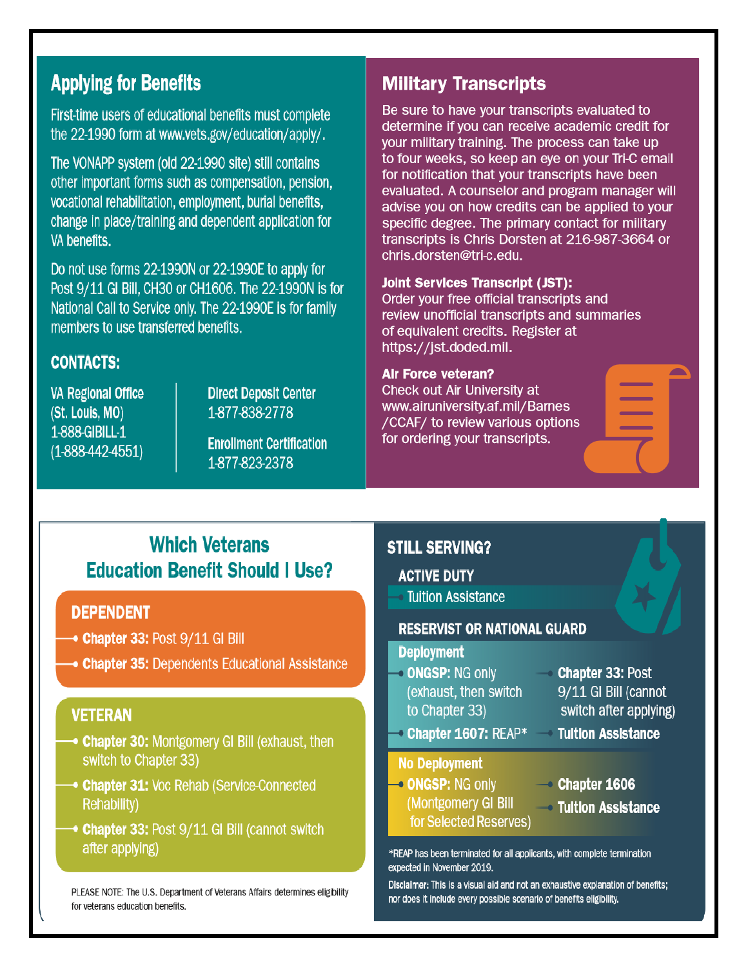# **Applying for Benefits**

First-time users of educational benefits must complete the 22-1990 form at www.vets.gov/education/apply/.

The VONAPP system (old 22-1990 site) still contains other important forms such as compensation, pension, vocational rehabilitation, employment, burial benefits, change in place/training and dependent application for VA benefits.

Do not use forms 22-1990N or 22-1990E to apply for Post 9/11 GI Bill, CH30 or CH1606. The 22-1990N is for National Call to Service only. The 22-1990E is for family members to use transferred benefits.

## **CONTACTS:**

**VA Regional Office** (St. Louis, MO) 1-888-GIBILL-1  $(1-888-442-4551)$ 

**Direct Deposit Center** 1-877-838-2778

**Enrollment Certification** 1-877-823-2378

## **Military Transcripts**

Be sure to have your transcripts evaluated to determine if you can receive academic credit for your military training. The process can take up to four weeks, so keep an eye on your Tri-C email for notification that your transcripts have been evaluated. A counselor and program manager will advise you on how credits can be applied to your specific degree. The primary contact for military transcripts is Chris Dorsten at 216-987-3664 or chris.dorsten@tri-c.edu.

### **Joint Services Transcript (JST):**

Order your free official transcripts and review unofficial transcripts and summaries of equivalent credits. Register at https://jst.doded.mil.

#### **Air Force veteran?**

Check out Air University at www.airuniversity.af.mil/Barnes /CCAF/ to review various options for ordering your transcripts.

# **Which Veterans Education Benefit Should I Use?**

### **DEPENDENT**

- $\rightarrow$  Chapter 33: Post  $9/11$  GI Bill
- Chapter 35: Dependents Educational Assistance

### **VETERAN**

- **Chapter 30: Montgomery GI Bill (exhaust, then** switch to Chapter 33)
- **Chapter 31: Voc Rehab (Service-Connected) Rehability)**
- ◆ Chapter 33: Post 9/11 GI Bill (cannot switch after applying)

PLEASE NOTE: The U.S. Department of Veterans Affairs determines eligibility for veterans education benefits.

## **STILL SERVING?**

**ACTIVE DUTY** 

**Tuition Assistance** 

### **RESERVIST OR NATIONAL GUARD**

#### **Deployment**

- **ONGSP: NG only** (exhaust, then switch to Chapter 33)
- **Chapter 1607: REAP\* Tultion Assistance**

#### **No Deployment**

- ONGSP: NG only (Montgomery GI Bill for Selected Reserves)
- **Chapter 33: Post** 9/11 GI Bill (cannot switch after applying)
- 
- $\sim$  Chapter 1606 Tuition Assistance

\*REAP has been terminated for all applicants, with complete termination expected in November 2019.

Disclaimer: This is a visual aid and not an exhaustive explanation of benefits; nor does it include every possible scenario of benefits eligibility.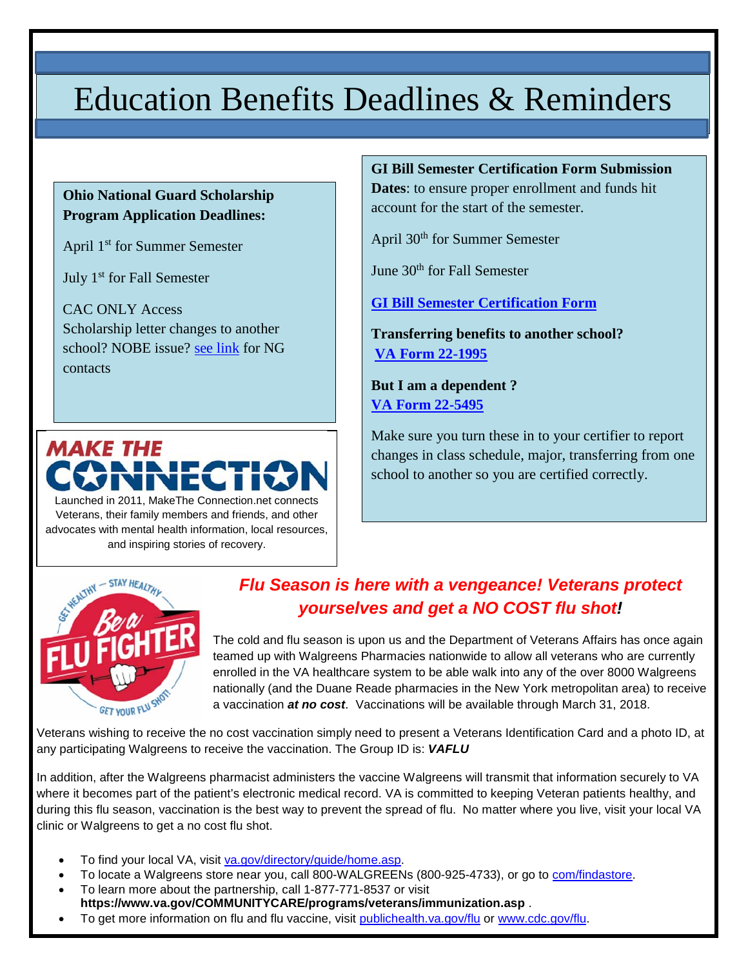# Education Benefits Deadlines & Reminders

### **Ohio National Guard Scholarship Program Application Deadlines:**

April 1st for Summer Semester

July 1st for Fall Semester

CAC ONLY Access Scholarship letter changes to another school? NOBE issue? [see link](http://www.tri-c.edu/veterans/documents/ohio-national-guard-information.pdf) for NG contacts



Launched in 2011, MakeThe Connection.net connects Veterans, their family members and friends, and other advocates with mental health information, local resources, and inspiring stories of recovery.

### **GI Bill Semester Certification Form Submission**

**Dates**: to ensure proper enrollment and funds hit account for the start of the semester.

April 30th for Summer Semester

June 30<sup>th</sup> for Fall Semester

**[GI Bill Semester Certification Form](http://www.tri-c.edu/veterans/documents/gi-bill-semester-form-responsiblities-2017.pdf)**

**Transferring benefits to another school? [VA Form 22-1995](http://www.tri-c.edu/veterans/documents/vba-22-1995-are.pdf)**

**But I am a dependent ? [VA Form 22-5495](http://www.tri-c.edu/veterans/documents/vba-22-5495-are.pdf)**

Make sure you turn these in to your certifier to report changes in class schedule, major, transferring from one school to another so you are certified correctly.



# *Flu Season is here with a vengeance! Veterans protect yourselves and get a NO COST flu shot!*

The cold and flu season is upon us and the Department of Veterans Affairs has once again teamed up with Walgreens Pharmacies nationwide to allow all veterans who are currently enrolled in the VA healthcare system to be able walk into any of the over 8000 Walgreens nationally (and the Duane Reade pharmacies in the New York metropolitan area) to receive a vaccination *at no cost*. Vaccinations will be available through March 31, 2018.

Veterans wishing to receive the no cost vaccination simply need to present a Veterans Identification Card and a photo ID, at any participating Walgreens to receive the vaccination. The Group ID is: *VAFLU*

In addition, after the Walgreens pharmacist administers the vaccine Walgreens will transmit that information securely to VA where it becomes part of the patient's electronic medical record. VA is committed to keeping Veteran patients healthy, and during this flu season, vaccination is the best way to prevent the spread of flu. No matter where you live, visit your local VA clinic or Walgreens to get a no cost flu shot.

- To find your local VA, visit [va.gov/directory/guide/home.asp.](http://links.govdelivery.com/track?type=click&enid=ZWFzPTEmbWFpbGluZ2lkPTIwMTcwOTI2Ljc4NjM4OTkxJm1lc3NhZ2VpZD1NREItUFJELUJVTC0yMDE3MDkyNi43ODYzODk5MSZkYXRhYmFzZWlkPTEwMDEmc2VyaWFsPTE3MTU2OTgyJmVtYWlsaWQ9am9zZWdhcmNpYTRAc2JjZ2xvYmFsLm5ldCZ1c2VyaWQ9am9zZWdhcmNpYTRAc2JjZ2xvYmFsLm5ldCZmbD0mZXh0cmE9TXVsdGl2YXJpYXRlSWQ9JiYm&&&100&&&http://www.va.gov/directory/guide/home.asp)
- To locate a Walgreens store near you, call 800-WALGREENs (800-925-4733), or go to [com/findastore.](http://links.govdelivery.com/track?type=click&enid=ZWFzPTEmbWFpbGluZ2lkPTIwMTcwOTI2Ljc4NjM4OTkxJm1lc3NhZ2VpZD1NREItUFJELUJVTC0yMDE3MDkyNi43ODYzODk5MSZkYXRhYmFzZWlkPTEwMDEmc2VyaWFsPTE3MTU2OTgyJmVtYWlsaWQ9am9zZWdhcmNpYTRAc2JjZ2xvYmFsLm5ldCZ1c2VyaWQ9am9zZWdhcmNpYTRAc2JjZ2xvYmFsLm5ldCZmbD0mZXh0cmE9TXVsdGl2YXJpYXRlSWQ9JiYm&&&101&&&http://Walgreens.com/findastore)
- To learn more about the partnership, call 1-877-771-8537 or visit **[https://www.va.gov/COMMUNITYCARE/programs/veterans/immunization.asp](http://links.govdelivery.com/track?type=click&enid=ZWFzPTEmbWFpbGluZ2lkPTIwMTcwOTI2Ljc4NjM4OTkxJm1lc3NhZ2VpZD1NREItUFJELUJVTC0yMDE3MDkyNi43ODYzODk5MSZkYXRhYmFzZWlkPTEwMDEmc2VyaWFsPTE3MTU2OTgyJmVtYWlsaWQ9am9zZWdhcmNpYTRAc2JjZ2xvYmFsLm5ldCZ1c2VyaWQ9am9zZWdhcmNpYTRAc2JjZ2xvYmFsLm5ldCZmbD0mZXh0cmE9TXVsdGl2YXJpYXRlSWQ9JiYm&&&102&&&https://www.va.gov/COMMUNITYCARE/programs/veterans/immunization.asp)** .
- To get more information on flu and flu vaccine, visit [publichealth.va.gov/flu](http://links.govdelivery.com/track?type=click&enid=ZWFzPTEmbWFpbGluZ2lkPTIwMTcwOTI2Ljc4NjM4OTkxJm1lc3NhZ2VpZD1NREItUFJELUJVTC0yMDE3MDkyNi43ODYzODk5MSZkYXRhYmFzZWlkPTEwMDEmc2VyaWFsPTE3MTU2OTgyJmVtYWlsaWQ9am9zZWdhcmNpYTRAc2JjZ2xvYmFsLm5ldCZ1c2VyaWQ9am9zZWdhcmNpYTRAc2JjZ2xvYmFsLm5ldCZmbD0mZXh0cmE9TXVsdGl2YXJpYXRlSWQ9JiYm&&&103&&&http://www.publichealth.va.gov/flu) or [www.cdc.gov/flu.](http://links.govdelivery.com/track?type=click&enid=ZWFzPTEmbWFpbGluZ2lkPTIwMTcwOTI2Ljc4NjM4OTkxJm1lc3NhZ2VpZD1NREItUFJELUJVTC0yMDE3MDkyNi43ODYzODk5MSZkYXRhYmFzZWlkPTEwMDEmc2VyaWFsPTE3MTU2OTgyJmVtYWlsaWQ9am9zZWdhcmNpYTRAc2JjZ2xvYmFsLm5ldCZ1c2VyaWQ9am9zZWdhcmNpYTRAc2JjZ2xvYmFsLm5ldCZmbD0mZXh0cmE9TXVsdGl2YXJpYXRlSWQ9JiYm&&&104&&&http://www.cdc.gov/flu)